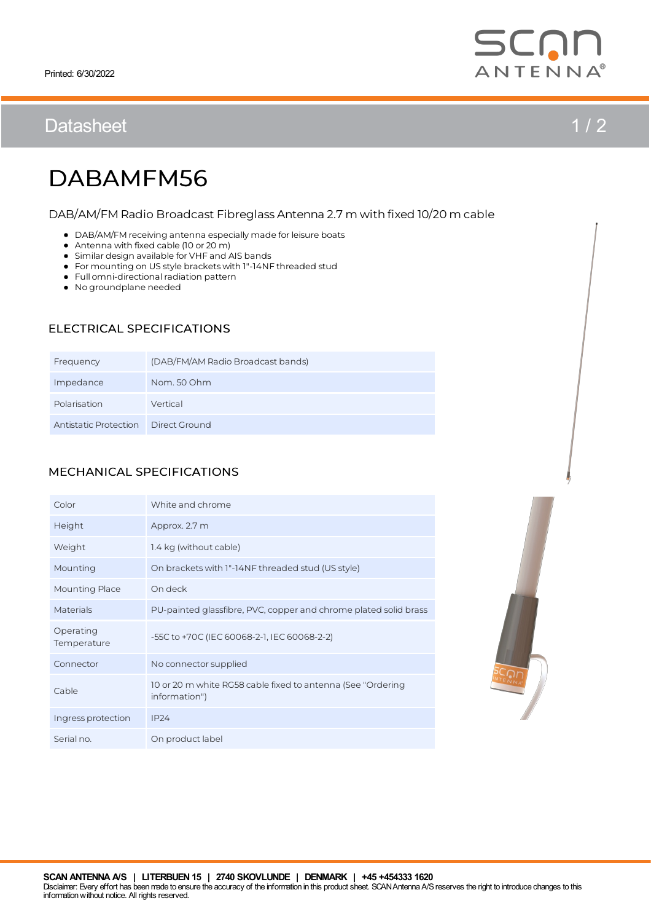# Datasheet 1/2



# DABAMFM56

#### DAB/AM/FM Radio Broadcast Fibreglass Antenna 2.7 m with fixed 10/20 m cable

- $\bullet$  DAB/AM/FM receiving antenna especially made for leisure boats
- Antenna with fixed cable (10 or 20 m)
- Similar design available for VHF and AIS bands
- For mounting on US style bracketswith 1"-14NF threaded stud
- Full omni-directional radiation pattern
- No groundplane needed

### ELECTRICAL SPECIFICATIONS

| Frequency             | (DAB/FM/AM Radio Broadcast bands) |
|-----------------------|-----------------------------------|
| Impedance             | Nom. 50 Ohm                       |
| Polarisation          | Vertical                          |
| Antistatic Protection | Direct Ground                     |

### MECHANICAL SPECIFICATIONS

| Color                    | White and chrome                                                             |
|--------------------------|------------------------------------------------------------------------------|
| Height                   | Approx. 2.7 m                                                                |
| Weight                   | 1.4 kg (without cable)                                                       |
| Mounting                 | On brackets with 1"-14NF threaded stud (US style)                            |
| <b>Mounting Place</b>    | On deck                                                                      |
| Materials                | PU-painted glassfibre, PVC, copper and chrome plated solid brass             |
| Operating<br>Temperature | -55C to +70C (IEC 60068-2-1, IEC 60068-2-2)                                  |
| Connector                | No connector supplied                                                        |
| Cable                    | 10 or 20 m white RG58 cable fixed to antenna (See "Ordering<br>information") |
| Ingress protection       | IP24                                                                         |
| Serial no.               | On product label                                                             |